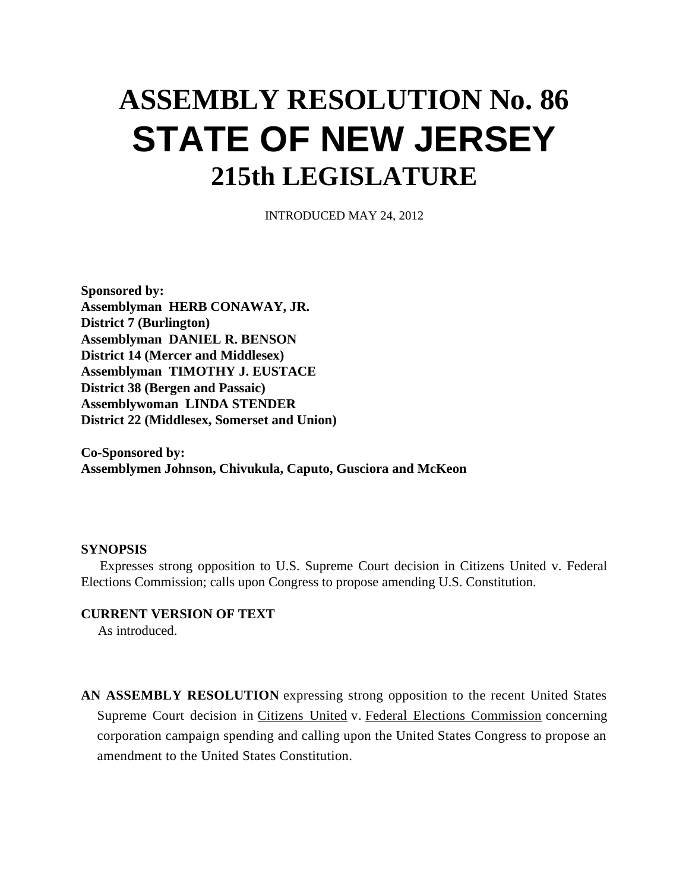## **ASSEMBLY RESOLUTION No. 86 STATE OF NEW JERSEY 215th LEGISLATURE**

INTRODUCED MAY 24, 2012

**Sponsored by: Assemblyman HERB CONAWAY, JR. District 7 (Burlington) Assemblyman DANIEL R. BENSON District 14 (Mercer and Middlesex) Assemblyman TIMOTHY J. EUSTACE District 38 (Bergen and Passaic) Assemblywoman LINDA STENDER District 22 (Middlesex, Somerset and Union)**

**Co-Sponsored by: Assemblymen Johnson, Chivukula, Caputo, Gusciora and McKeon**

## **SYNOPSIS**

 Expresses strong opposition to U.S. Supreme Court decision in Citizens United v. Federal Elections Commission; calls upon Congress to propose amending U.S. Constitution.

**CURRENT VERSION OF TEXT**

As introduced.

**AN ASSEMBLY RESOLUTION** expressing strong opposition to the recent United States Supreme Court decision in Citizens United v. Federal Elections Commission concerning corporation campaign spending and calling upon the United States Congress to propose an amendment to the United States Constitution.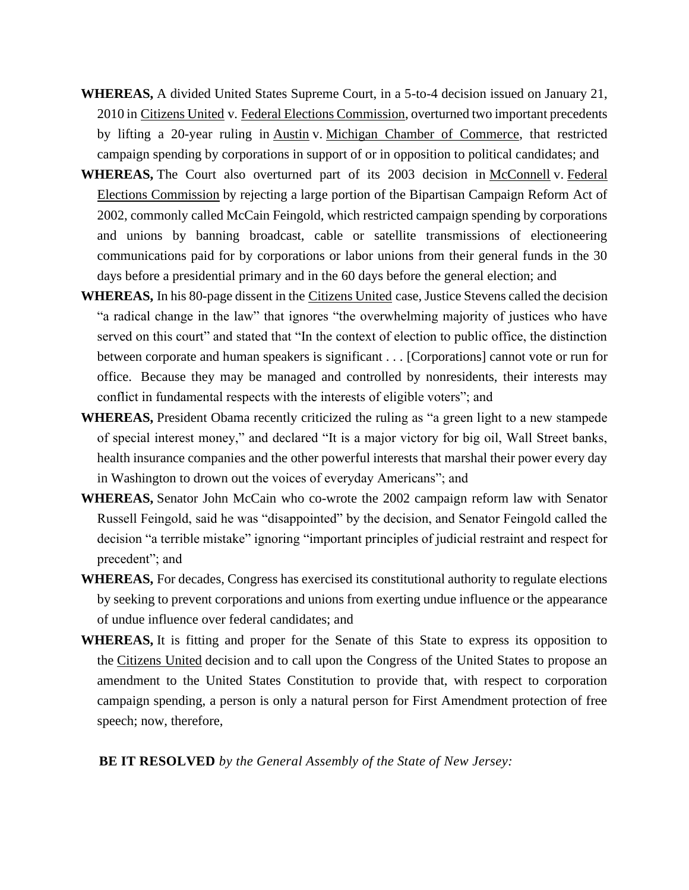- **WHEREAS,** A divided United States Supreme Court, in a 5-to-4 decision issued on January 21, 2010 in Citizens United v. Federal Elections Commission, overturned two important precedents by lifting a 20-year ruling in Austin v. Michigan Chamber of Commerce, that restricted campaign spending by corporations in support of or in opposition to political candidates; and
- WHEREAS, The Court also overturned part of its 2003 decision in McConnell v. Federal Elections Commission by rejecting a large portion of the Bipartisan Campaign Reform Act of 2002, commonly called McCain Feingold, which restricted campaign spending by corporations and unions by banning broadcast, cable or satellite transmissions of electioneering communications paid for by corporations or labor unions from their general funds in the 30 days before a presidential primary and in the 60 days before the general election; and
- **WHEREAS,** In his 80-page dissent in the Citizens United case, Justice Stevens called the decision "a radical change in the law" that ignores "the overwhelming majority of justices who have served on this court" and stated that "In the context of election to public office, the distinction between corporate and human speakers is significant . . . [Corporations] cannot vote or run for office. Because they may be managed and controlled by nonresidents, their interests may conflict in fundamental respects with the interests of eligible voters"; and
- **WHEREAS,** President Obama recently criticized the ruling as "a green light to a new stampede of special interest money," and declared "It is a major victory for big oil, Wall Street banks, health insurance companies and the other powerful interests that marshal their power every day in Washington to drown out the voices of everyday Americans"; and
- **WHEREAS,** Senator John McCain who co-wrote the 2002 campaign reform law with Senator Russell Feingold, said he was "disappointed" by the decision, and Senator Feingold called the decision "a terrible mistake" ignoring "important principles of judicial restraint and respect for precedent"; and
- **WHEREAS,** For decades, Congress has exercised its constitutional authority to regulate elections by seeking to prevent corporations and unions from exerting undue influence or the appearance of undue influence over federal candidates; and
- **WHEREAS,** It is fitting and proper for the Senate of this State to express its opposition to the Citizens United decision and to call upon the Congress of the United States to propose an amendment to the United States Constitution to provide that, with respect to corporation campaign spending, a person is only a natural person for First Amendment protection of free speech; now, therefore,

**BE IT RESOLVED** *by the General Assembly of the State of New Jersey:*